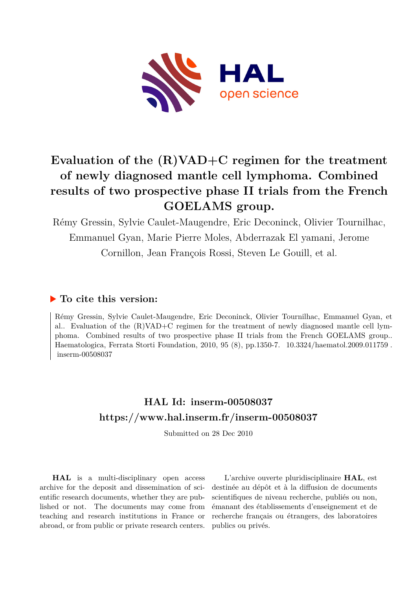

# **Evaluation of the (R)VAD+C regimen for the treatment of newly diagnosed mantle cell lymphoma. Combined results of two prospective phase II trials from the French GOELAMS group.**

Rémy Gressin, Sylvie Caulet-Maugendre, Eric Deconinck, Olivier Tournilhac, Emmanuel Gyan, Marie Pierre Moles, Abderrazak El yamani, Jerome Cornillon, Jean François Rossi, Steven Le Gouill, et al.

### **To cite this version:**

Rémy Gressin, Sylvie Caulet-Maugendre, Eric Deconinck, Olivier Tournilhac, Emmanuel Gyan, et al.. Evaluation of the  $(R)$ VAD+C regimen for the treatment of newly diagnosed mantle cell lymphoma. Combined results of two prospective phase II trials from the French GOELAMS group.. Haematologica, Ferrata Storti Foundation, 2010, 95 (8), pp.1350-7. 10.3324/haematol.2009.011759. inserm-00508037

## **HAL Id: inserm-00508037 <https://www.hal.inserm.fr/inserm-00508037>**

Submitted on 28 Dec 2010

**HAL** is a multi-disciplinary open access archive for the deposit and dissemination of scientific research documents, whether they are published or not. The documents may come from teaching and research institutions in France or abroad, or from public or private research centers.

L'archive ouverte pluridisciplinaire **HAL**, est destinée au dépôt et à la diffusion de documents scientifiques de niveau recherche, publiés ou non, émanant des établissements d'enseignement et de recherche français ou étrangers, des laboratoires publics ou privés.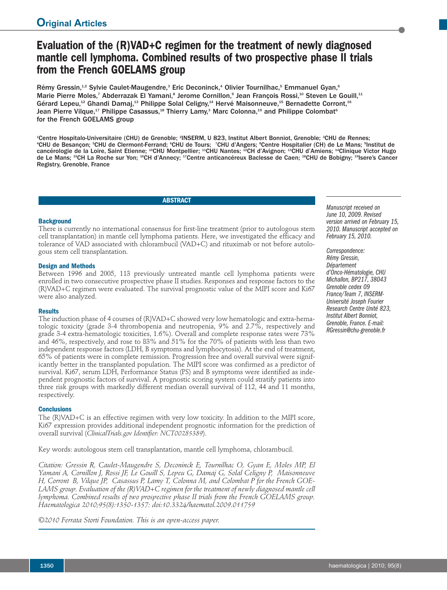## **Evaluation of the (R)VAD+C regimen for the treatment of newly diagnosed mantle cell lymphoma. Combined results of two prospective phase II trials from the French GOELAMS group**

Rémy Gressin,<sup>12</sup> Sylvie Caulet-Maugendre,<sup>3</sup> Eric Deconinck,<sup>4</sup> Olivier Tournilhac,<sup>5</sup> Emmanuel Gyan,<sup>6</sup> Marie Pierre Moles,<sup>7</sup> Abderrazak El Yamani,<sup>8</sup> Jerome Cornillon,<sup>9</sup> Jean François Rossi,<sup>10</sup> Steven Le Gouill,<sup>11</sup> Gérard Lepeu,<sup>12</sup> Ghandi Damaj,<sup>13</sup> Philippe Solal Celigny,<sup>14</sup> Hervé Maisonneuve,<sup>15</sup> Bernadette Corront,<sup>16</sup> Jean Pierre Vilque, $^\text{47}$  Philippe Casassus, $^\text{18}$  Thierry Lamy, $^\text{3}$  Marc Colonna, $^\text{19}$  and Philippe Colombat $^\text{6}$ for the French GOELAMS group

1 Centre Hospitalo-Universitaire (CHU) de Grenoble; <sup>2</sup> INSERM, U 823, Institut Albert Bonniot, Grenoble; <sup>3</sup> CHU de Rennes; °CHU de Besançon; 5CHU de Clermont-Ferrand; 6CHU de Tours; 7CHU d'Angers; 8Centre Hospitalier (CH) de Le Mans; °Institut de cancérologie de la Loire, Saint Etienne; <sup>10</sup>CHU Montpellier; <sup>11</sup>CHU Nantes; <sup>12</sup>CH d'Avignon; <sup>13</sup>CHU d'Amiens; <sup>14</sup>Clinique Victor Hugo de Le Mans; <sup>15</sup>CH La Roche sur Yon; <sup>16</sup>CH d'Annecy; <sup>17</sup>Centre anticancéreux Baclesse de Caen; <sup>18</sup>CHU de Bobigny; <sup>19</sup>lsere's Cancer Registry, Grenoble, France

**ABSTRACT**

#### **Background**

There is currently no international consensus for first-line treatment (prior to autologous stem cell transplantation) in mantle cell lymphoma patients. Here, we investigated the efficacy and tolerance of VAD associated with chlorambucil (VAD+C) and rituximab or not before autologous stem cell transplantation.

#### **Design and Methods**

Between 1996 and 2005, 113 previously untreated mantle cell lymphoma patients were enrolled in two consecutive prospective phase II studies. Responses and response factors to the (R)VAD+C regimen were evaluated. The survival prognostic value of the MIPI score and Ki67 were also analyzed.

#### **Results**

The induction phase of 4 courses of (R)VAD+C showed very low hematologic and extra-hematologic toxicity (grade 3-4 thrombopenia and neutropenia, 9% and 2.7%, respectively and grade 3-4 extra-hematologic toxicities, 1.6%). Overall and complete response rates were 73% and 46%, respectively, and rose to 83% and 51% for the 70% of patients with less than two independent response factors (LDH, B symptoms and lymphocytosis). At the end of treatment, 65% of patients were in complete remission. Progression free and overall survival were significantly better in the transplanted population. The MIPI score was confirmed as a predictor of survival. Ki67, serum LDH, Performance Status (PS) and B symptoms were identified as independent prognostic factors of survival. A prognostic scoring system could stratify patients into three risk groups with markedly different median overall survival of 112, 44 and 11 months, respectively.

#### **Conclusions**

The (R)VAD+C is an effective regimen with very low toxicity. In addition to the MIPI score, Ki67 expression provides additional independent prognostic information for the prediction of overall survival (*ClinicalTrials.gov Identifier: NCT00285389*).

Key words: autologous stem cell transplantation, mantle cell lymphoma, chlorambucil.

*Citation: Gressin R, Caulet-Maugendre S, Deconinck E, Tournilhac O, Gyan E, Moles MP, El Yamani A, Cornillon J, Rossi JF, Le Gouill S, Lepeu G, Damaj G, Solal Celigny P, Maisonneuve H, Corront B, Vilque JP, Casassus P, Lamy T, Colonna M, and Colombat P for the French GOE-LAMS group. Evaluation of the (R)VAD+C regimen for the treatment of newly diagnosed mantle cell lymphoma. Combined results of two prospective phase II trials from the French GOELAMS group. Haematologica 2010;95(8):1350-1357: doi:10.3324/haematol.2009.011759*

*©2010 Ferrata Storti Foundation. This is an open-access paper.*

*Manuscript received on June 10, 2009. Revised version arrived on February 15, 2010. Manuscript accepted on February 15, 2010.*

*Correspondence: Rémy Gressin, Département d'Onco-Hématologie, CHU Michallon, BP217, 38043 Grenoble cedex 09 France/Team 7, INSERM-Université Joseph Fourier Research Centre Unité 823, Institut Albert Bonniot, Grenoble, France.E-mail: RGressin@chu-grenoble.fr*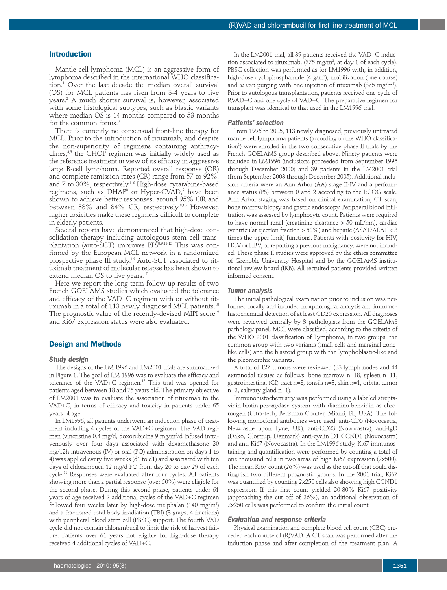Mantle cell lymphoma (MCL) is an aggressive form of lymphoma described in the international WHO classification. <sup>1</sup> Over the last decade the median overall survival (OS) for MCL patients has risen from 3-4 years to five years. <sup>2</sup> A much shorter survival is, however, associated with some histological subtypes, such as blastic variants where median OS is 14 months compared to 53 months for the common forms. 3

There is currently no consensual front-line therapy for MCL. Prior to the introduction of rituximab, and despite the non-superiority of regimens containing anthracyclines, 4,5 the CHOP regimen was initially widely used as the reference treatment in view of its efficacy in aggressive large B-cell lymphoma. Reported overall response (OR) and complete remission rates (CR) range from 57 to 92%, and 7 to 30%, respectively. 6-8 High-dose cytarabine-based regimens, such as DHAP<sup>8</sup> or Hyper-CVAD,<sup>9</sup> have been shown to achieve better responses; around 95% OR and between 38% and 84% CR, respectively. 9,10 However, higher toxicities make these regimens difficult to complete in elderly patients.

Several reports have demonstrated that high-dose consolidation therapy including autologous stem cell transplantation (auto-SCT) improves  $PFS^{8,9,11\cdot15}$  This was confirmed by the European MCL network in a randomized prospective phase III study. <sup>16</sup> Auto-SCT associated to rituximab treatment of molecular relapse has been shown to extend median OS to five years. 17

Here we report the long-term follow-up results of two French GOELAMS studies which evaluated the tolerance and efficacy of the VAD+C regimen with or without rituximab in a total of 113 newly diagnosed MCL patients. $^{18}$ The prognostic value of the recently-devised MIPI score<sup>19</sup> and Ki67 expression status were also evaluated.

#### **Design and Methods**

#### *Study design*

The designs of the LM 1996 and LM2001 trials are summarized in Figure 1. The goal of LM 1996 was to evaluate the efficacy and tolerance of the VAD+C regimen. <sup>18</sup> This trial was opened for patients aged between 18 and 75 years old. The primary objective of LM2001 was to evaluate the association of rituximab to the VAD+C, in terms of efficacy and toxicity in patients under 65 years of age.

In LM1996, all patients underwent an induction phase of treatment including 4 cycles of the VAD+C regimen. The VAD regimen (vincristine 0.4 mg/d, doxorubicine 9 mg/m²/d infused intravenously over four days associated with dexamethasone 20 mg/12h intravenous (IV) or oral (PO) administration on days 1 to 4) was applied every five weeks (d1 to d1) and associated with ten days of chlorambucil 12 mg/d PO from day 20 to day 29 of each cycle. <sup>18</sup> Responses were evaluated after four cycles. All patients showing more than a partial response (over 50%) were eligible for the second phase. During this second phase, patients under 61 years of age received 2 additional cycles of the VAD+C regimen followed four weeks later by high-dose melphalan (140 mg/m $^2$ ) and a fractioned total body irradiation (TBI) (8 grays, 4 fractions) with peripheral blood stem cell (PBSC) support. The fourth VAD cycle did not contain chlorambucil to limit the risk of harvest failure. Patients over 61 years not eligible for high-dose therapy received 4 additional cycles of VAD+C.

In the LM2001 trial, all 39 patients received the VAD+C induction associated to rituximab,  $(375 \text{ mg/m}^2,$  at day 1 of each cycle). PBSC collection was performed as for LM1996 with, in addition, high-dose cyclophosphamide (4 g/m²), mobilization (one course) and *in vivo* purging with one injection of rituximab (375 mg/m2 ). Prior to autologous transplantation, patients received one cycle of RVAD+C and one cycle of VAD+C. The preparative regimen for transplant was identical to that used in the LM1996 trial.

#### *Patients' selection*

From 1996 to 2005, 113 newly diagnosed, previously untreated mantle cell lymphoma patients (according to the WHO classifica- $\text{tion}^1$ ) were enrolled in the two consecutive phase II trials by the French GOELAMS group described above. Ninety patients were included in LM1996 (inclusions proceeded from September 1996 through December 2000) and 39 patients in the LM2001 trial (from September 2003 through December 2005). Additional inclusion criteria were an Ann Arbor (AA) stage II-IV and a performance status (PS) between 0 and 2 according to the ECOG scale. Ann Arbor staging was based on clinical examination, CT scan, bone marrow biopsy and gastric endoscopy. Peripheral blood infiltration was assessed by lymphocyte count. Patients were required to have normal renal (creatinine clearance > 50 mL/mn), cardiac (ventricular ejection fraction > 50%) and hepatic (ASAT/ALAT < 3 times the upper limit) functions. Patients with positivity for HIV, HCV or HBV, or reporting a previous malignancy, were not included. These phase II studies were approved by the ethics committee of Grenoble University Hospital and by the GOELAMS institutional review board (IRB). All recruited patients provided written informed consent.

#### *Tumor analysis*

The initial pathological examination prior to inclusion was performed locally and included morphological analysis and immunohistochemical detection of at least CD20 expression. All diagnoses were reviewed centrally by 3 pathologists from the GOELAMS pathology panel. MCL were classified, according to the criteria of the WHO 2001 classification of Lymphoma, in two groups: the common group with two variants (small cells and marginal zonelike cells) and the blastoid group with the lymphoblastic-like and the pleomorphic variants.

A total of 127 tumors were reviewed (83 lymph nodes and 44 extranodal tissues as follows: bone marrow n=18, spleen n=11, gastrointestinal (GI) tract n=8, tonsils n=3, skin n=1, orbital tumor n=2, salivary gland n=1).

Immunohistochemistry was performed using a labeled streptavidin-biotin-peroxydase system with diamino-benzidin as chromogen (Ultra-tech, Beckman Coulter, Miami, FL, USA). The following monoclonal antibodies were used: anti-CD5 (Novocastra, Newcastle upon Tyne, UK), anti-CD23 (Novocastra), anti-IgD (Dako, Glostrup, Denmark) anti-cyclin D1 CCND1 (Novocastra) and anti-Ki67 (Novocastra). In the LM1996 study, Ki67 immunostaining and quantification were performed by counting a total of one thousand cells in two areas of high Ki67 expression (2x500). The mean Ki67 count (26%) was used as the cut-off that could distinguish two different prognostic groups. In the 2001 trial, Ki67 was quantified by counting 2x250 cells also showing high CCND1 expression. If this first count yielded 20-30% Ki67 positivity (approaching the cut off of 26%), an additional observation of 2x250 cells was performed to confirm the initial count.

#### *Evaluation and response criteria*

Physical examination and complete blood cell count (CBC) preceded each course of (R)VAD. A CT scan was performed after the induction phase and after completion of the treatment plan. A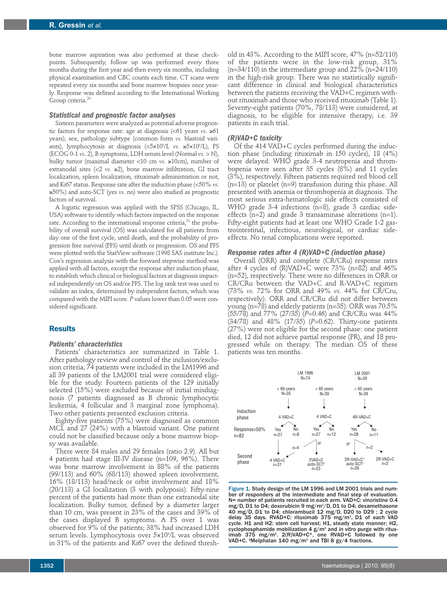bone marrow aspiration was also performed at these checkpoints. Subsequently, follow up was performed every three months during the first year and then every six months, including physical examination and CBC counts each time. CT scans were repeated every six months and bone marrow biopsies once yearly. Response was defined according to the International Working Group criteria.<sup>20</sup>

#### *Statistical and prognostic factor analyses*

Sixteen parameters were analyzed as potential adverse prognostic factors for response rate: age at diagnosis (<61 years *vs*. ≥61 years), sex, pathology subtype (common form *vs*. blastoid variants), lymphocytosis at diagnosis (<5¥109 /L *vs*. ≥5¥109 /L), PS (ECOG 0-1 *vs*. 2), B symptoms, LDH serum level (Normal *vs.* > N), bulky tumor (maximal diameter <10 cm *vs*. ≥10cm), number of extranodal sites (<2 *vs*. ≥2), bone marrow infiltration, GI tract localization, spleen localization, rituximab administration or not, and Ki67 status. Response rate after the induction phase (<50% *vs*. ≥50%) and auto-SCT (yes *vs*. no) were also studied as prognostic factors of survival.

A logistic regression was applied with the SPSS (Chicago, IL, USA) software to identify which factors impacted on the response rate. According to the international response criteria, $^{21}$  the probability of overall survival (OS) was calculated for all patients from day one of the first cycle, until death, and the probability of progression free survival (PFS) until death or progression. OS and PFS were plotted with the StatView software (1998 SAS institute Inc.). Cox's regression analysis with the forward stepwise method was applied with all factors, except the response after induction phase, to establish which clinical or biological factors at diagnosis impacted independently on OS and/or PFS. The log rank test was used to validate an index, determined by independent factors, which was compared with the MIPI score. *P* values lower than 0.05 were considered significant.

#### **Results**

#### *Patients' characteristics*

Patients' characteristics are summarized in Table 1. After pathology review and control of the inclusion/exclusion criteria, 74 patients were included in the LM1996 and all 39 patients of the LM2001 trial were considered eligible for the study. Fourteen patients of the 129 initially selected (15%) were excluded because of initial misdiagnosis (7 patients diagnosed as B chronic lymphocytic leukemia, 4 follicular and 3 marginal zone lymphoma). Two other patients presented exclusion criteria.

Eighty-five patients (75%) were diagnosed as common MCL and 27 (24%) with a blastoid variant. One patient could not be classified because only a bone marrow biopsy was available.

There were 84 males and 29 females (ratio 2.9). All but 4 patients had stage III-IV disease (n=109, 96%). There was bone marrow involvement in 88% of the patients (99/113) and 60% (68/113) showed spleen involvement, 16% (18/113) head/neck or orbit involvement and 18% (20/113) a GI localization (3 with polyposis). Fifty-nine percent of the patients had more than one extranodal site localization. Bulky tumor, defined by a diameter larger than 10 cm, was present in 23% of the cases and 39% of the cases displayed B symptoms. A PS over 1 was observed for 9% of the patients; 38% had increased LDH serum levels. Lymphocytosis over 5×10°/L was observed in 31% of the patients and Ki67 over the defined threshold in 43%. According to the MIPI score, 47% (n=52/110) of the patients were in the low-risk group, 31%  $(n=34/110)$  in the intermediate group and  $22\%$   $(n=24/110)$ in the high-risk group. There was no statistically significant difference in clinical and biological characteristics between the patients receiving the VAD+C regimen without rituximab and those who received rituximab (Table 1). Seventy-eight patients (70%, 78/113) were considered, at diagnosis, to be eligible for intensive therapy, i.e. 39 patients in each trial.

#### *(R)VAD+C toxicity*

Of the 414 VAD+C cycles performed during the induction phase (including rituximab in 150 cycles), 18 (4%) were delayed. WHO grade 3-4 neutropenia and thrombopenia were seen after 35 cycles (8%) and 11 cycles (3%), respectively. Fifteen patients required red blood cell (n=13) or platelet (n=9) transfusion during this phase. All presented with anemia or thrombopenia at diagnosis. The most serious extra-hematologic side effects consisted of WHO grade 3-4 infections (n=8), grade 3 cardiac sideeffects (n=2) and grade 3 transaminase alterations (n=1). Fifty-eight patients had at least one WHO Grade 1-2 gastrointestinal, infectious, neurological, or cardiac sideeffects. No renal complications were reported.

#### *Response rates after 4 (R)VAD+C (induction phase)*

Overall (ORR) and complete (CR/CRu) response rates after 4 cycles of (R)VAD+C were 73% (n=82) and 46% (n=52), respectively. There were no differences in ORR or CR/CRu between the VAD+C and R-VAD+C regimen (73% *vs.* 72% for ORR and 49% *vs*. 44% for CR/Cru, respectively). ORR and CR/CRu did not differ between young (n=78) and elderly patients (n=35): ORR was 70.5% (55/78) and 77% (27/35) (*P*=0.46) and CR/CRu was 44% (34/78) and 48% (17/35) (*P*=0.62). Thirty-one patients (27%) were not eligible for the second phase: one patient died, 12 did not achieve partial response (PR), and 18 progressed while on therapy. The median OS of these patients was ten months.



Figure 1. Study design of the LM 1996 and LM 2001 trials and number of responders at the intermediate and final step of evaluation. N= number of patients recruited in each arm. VAD+C: vincristine 0.4 mg/D, D1 to D4; doxorubicin 9 mg/m<sup>2</sup>/D, D1 to D4; dexamethasone 40 mg/D, D1 to D4; chlorambucil 12 mg/D, D20 to D29 ; 2 cycle delay 35 days. RVAD+C: rituximab 375 mg/m<sup>2</sup>, D1 of each VAD cycle. H1 and H2: stem cell harvest; H1, steady state manner; H2, cyclophosphamide mobilization 4 g/m2 and *in vitro* purge with rituximab 375 mg/m2 . 2(R)VAD+C\*, one RVAD+C followed by one VAD+C. <sup>§</sup>Melphalan 140 mg/m<sup>2</sup> and TBI 8 gy/4 fractions.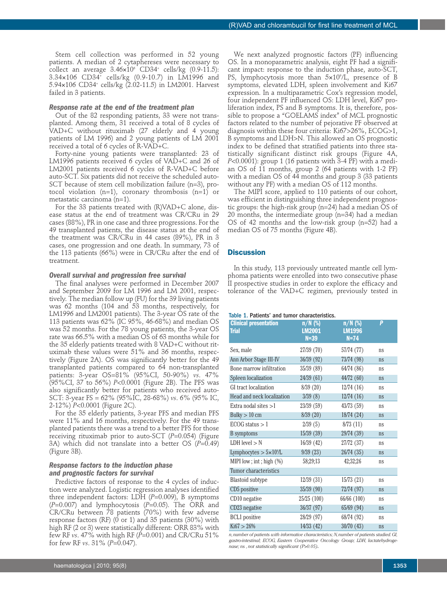Stem cell collection was performed in 52 young patients. A median of 2 cytaphereses were necessary to collect an average  $3.46 \times 10^{6}$  CD34<sup>+</sup> cells/kg (0.9-11.5): 3.34¥106 CD34+ cells/kg (0.9-10.7) in LM1996 and 5.94¥106 CD34+ cells/kg (2.02-11.5) in LM2001. Harvest failed in 3 patients.

#### *Response rate at the end of the treatment plan*

Out of the 82 responding patients, 33 were not transplanted. Among them, 31 received a total of 8 cycles of VAD+C without rituximab (27 elderly and 4 young patients of LM 1996) and 2 young patients of LM 2001 received a total of 6 cycles of R-VAD+C.

Forty-nine young patients were transplanted: 23 of LM1996 patients received 6 cycles of VAD+C and 26 of LM2001 patients received 6 cycles of R-VAD+C before auto-SCT. Six patients did not receive the scheduled auto-SCT because of stem cell mobilization failure (n=3), protocol violation (n=1), coronary thrombosis (n=1) or metastatic carcinoma (n=1).

For the 33 patients treated with (R)VAD+C alone, disease status at the end of treatment was CR/CRu in 29 cases (88%), PR in one case and three progressions. For the 49 transplanted patients, the disease status at the end of the treatment was CR/CRu in 44 cases (89%), PR in 3 cases, one progression and one death. In summary, 73 of the 113 patients (66%) were in CR/CRu after the end of treatment.

#### *Overall survival and progression free survival*

The final analyses were performed in December 2007 and September 2009 for LM 1996 and LM 2001, respectively. The median follow up (FU) for the 39 living patients was 62 months (104 and 53 months, respectively, for LM1996 and LM2001 patients). The 3-year OS rate of the 113 patients was 62% (IC 95%, 46-68%) and median OS was 52 months. For the 78 young patients, the 3-year OS rate was 66.5% with a median OS of 63 months while for the 35 elderly patients treated with 8 VAD+C without rituximab these values were 51% and 36 months, respectively (Figure 2A). OS was significantly better for the 49 transplanted patients compared to 64 non-transplanted patients: 3-year OS=81% (95%CI, 50-90%) *vs*. 47% (95%CI, 37 to 56%) *P*<0.0001 (Figure 2B). The PFS was also significantly better for patients who received auto-SCT: 3-year FS = 62% (95%IC, 28-68%) *vs*. 6% (95% IC, 2-12%) *P*<0.0001 (Figure 2C).

For the 35 elderly patients, 3-year PFS and median PFS were 11% and 16 months, respectively. For the 49 transplanted patients there was a trend to a better PFS for those receiving rituximab prior to auto-SCT (*P*=0.054) (Figure 3A) which did not translate into a better OS (*P*=0.49) (Figure 3B).

#### *Response factors to the induction phase and prognostic factors for survival*

Predictive factors of response to the 4 cycles of induction were analyzed. Logistic regression analyses identified three independent factors: LDH (*P*=0.009), B symptoms (*P*=0.007) and lymphocytosis (*P*=0.05). The ORR and CR/CRu between 78 patients (70%) with few adverse response factors (RF) (0 or 1) and 35 patients (30%) with high RF (2 or 3) were statistically different: ORR 83% with few RF *vs*. 47% with high RF (*P*=0.001) and CR/CRu 51% for few RF *vs*. 31% (*P*=0.047).

We next analyzed prognostic factors (PF) influencing OS. In a monoparametric analysis, eight PF had a significant impact: response to the induction phase, auto-SCT, PS, lymphocytosis more than 5×10°/L, presence of B symptoms, elevated LDH, spleen involvement and Ki67 expression. In a multiparametric Cox's regression model, four independent PF influenced OS: LDH level, Ki67 proliferation index, PS and B symptoms. It is, therefore, possible to propose a "GOELAMS index" of MCL prognostic factors related to the number of pejorative PF observed at diagnosis within these four criteria: Ki67>26%, ECOG>1, B symptoms and LDH>N. This allowed an OS prognostic index to be defined that stratified patients into three statistically significant distinct risk groups (Figure 4A, *P*<0.0001): group 1 (16 patients with 3-4 PF) with a median OS of 11 months, group 2 (64 patients with 1-2 PF) with a median OS of 44 months and group 3 (33 patients without any PF) with a median OS of 112 months.

The MIPI score, applied to 110 patients of our cohort, was efficient in distinguishing three independent prognostic groups: the high-risk group (n=24) had a median OS of 20 months, the intermediate group (n=34) had a median OS of 42 months and the low-risk group (n=52) had a median OS of 75 months (Figure 4B).

#### **Discussion**

In this study, 113 previously untreated mantle cell lymphoma patients were enrolled into two consecutive phase II prospective studies in order to explore the efficacy and tolerance of the VAD+C regimen, previously tested in

#### Table 1. Patients' and tumor characteristics.

| <b>Clinical presentation</b><br><b>Trial</b> | $n/N$ (%)<br><b>LM2001</b><br>$N = 39$ | $n/N$ (%)<br><b>LM1996</b><br>$N=74$ | P  |
|----------------------------------------------|----------------------------------------|--------------------------------------|----|
| Sex, male                                    | 27/39 (70)                             | 57/74 (77)                           | ns |
| Ann Arbor Stage III-IV                       | 36/39(92)                              | 73/74 (98)                           | ns |
| Bone marrow infiltration                     | 35/39 (89)                             | 64/74 (86)                           | ns |
| Spleen localization                          | 24/39 (61)                             | 44/72 (60)                           | ns |
| GI tract localization                        | 8/39(20)                               | 12/74(16)                            | ns |
| Head and neck localization                   | 3/39(8)                                | 12/74(16)                            | ns |
| Extra nodal sites $>1$                       | 23/39 (59)                             | 43/73 (59)                           | ns |
| Bulky $> 10$ cm                              | 8/39(20)                               | 18/74 (24)                           | ns |
| $ECOG$ status $>1$                           | 2/39(5)                                | 8/73(11)                             | ns |
| <b>B</b> symptoms                            | 15/39 (39)                             | 29/74 (39)                           | ns |
| $LDH$ level $> N$                            | 16/39(42)                              | 27/72 (37)                           | ns |
| Lymphocytes $> 5 \times 10^9$ /L             | 9/39(23)                               | 26/74 (35)                           | ns |
| MIPI low; int; high $(\%)$                   | 58;29;13                               | 42;32;26                             | ns |
| Tumor characteristics                        |                                        |                                      |    |
| <b>Blastoid subtype</b>                      | 12/39(31)                              | 15/73(21)                            | ns |
| CD5 positive                                 | 35/39 (90)                             | 72/74 (97)                           | ns |
| CD10 negative                                | 25/25 (100)                            | 66/66 (100)                          | ns |
| CD23 negative                                | 36/37 (97)                             | 65/69(94)                            | ns |
| <b>BCL1</b> positive                         | 28/29 (97)                             | 68/74 (92)                           | ns |
| Ki67 > 26%                                   | 14/33 (42)                             | 30/70 (43)                           | ns |

*n,number of patients with informative characteristics;N,number of patients studied.GI, gastro-intestinal; ECOG, Eastern Cooperative Oncology Group; LDH, lactatehydrogenase; ns ,not statistically significant (P>0.05)*.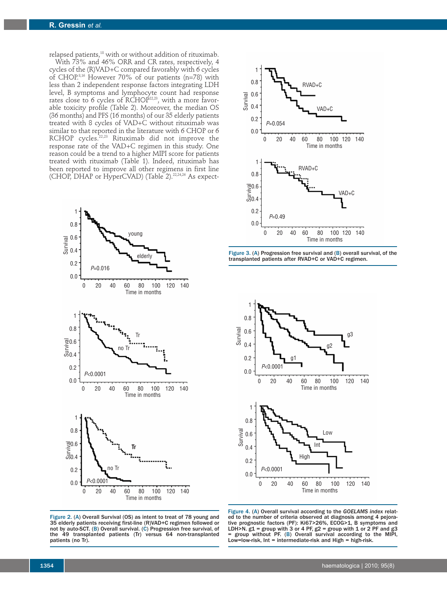relapsed patients, <sup>18</sup> with or without addition of rituximab.

With 73% and 46% ORR and CR rates, respectively, 4 cycles of the (R)VAD+C compared favorably with 6 cycles of CHOP. 8,16 However 70% of our patients (n=78) with less than 2 independent response factors integrating LDH level, B symptoms and lymphocyte count had response rates close to 6 cycles of RCHOP<sup>22,23</sup>, with a more favorable toxicity profile (Table 2). Moreover, the median OS (36 months) and PFS (16 months) of our 35 elderly patients treated with 8 cycles of VAD+C without rituximab was similar to that reported in the literature with 6 CHOP or 6 RCHOP cycles. 22,23 Rituximab did not improve the response rate of the VAD+C regimen in this study. One reason could be a trend to a higher MIPI score for patients treated with rituximab (Table 1). Indeed, rituximab has been reported to improve all other regimens in first line (CHOP, DHAP or HyperCVAD) (Table 2).<sup>22,24,26</sup> As expect-









Figure 2. (A) Overall Survival (OS) as intent to treat of 78 young and 35 elderly patients receiving first-line (R)VAD+C regimen followed or not by auto-SCT. (B) Overall survival. (C) Progression free survival, of the 49 transplanted patients (Tr) versus 64 non-transplanted patients (no Tr).

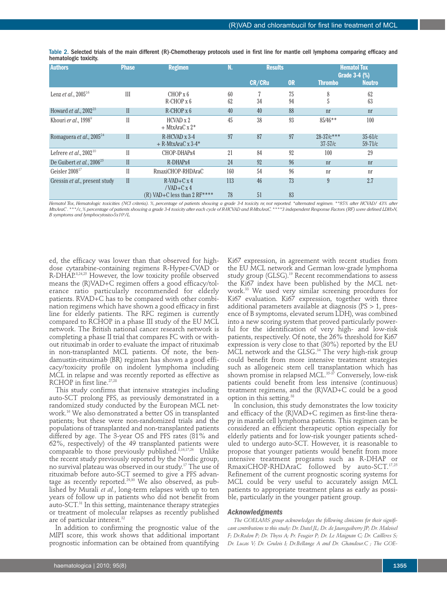| <b>Authors</b>                        | <b>Phase</b> | <b>Regimen</b>                            |          | <b>Results</b> |           | <b>Hematol Tox</b><br>Grade 3-4 (%) |                            |
|---------------------------------------|--------------|-------------------------------------------|----------|----------------|-----------|-------------------------------------|----------------------------|
|                                       |              |                                           |          | <b>CR/CRu</b>  | <b>OR</b> | <b>Thrombo</b>                      | <b>Neutro</b>              |
| Lenz et al., 2005 <sup>16</sup>       | III          | CHOPX6<br>$R$ -CHOP $x$ 6                 | 60<br>62 | 34             | 75<br>94  | 8<br>$\mathcal{D}$                  | 62<br>63                   |
| Howard et al., $2002^{23}$            | II           | $R$ -CHOP $x$ 6                           | 40       | 40             | 88        | nr                                  | nr                         |
| Khouri er al., 1998 <sup>9</sup>      | H            | HCVAD x 2<br>$+$ MtxAraC x 2 <sup>*</sup> | 45       | 38             | 93        | $85/46**$                           | 100                        |
| Romaguera et al., 2005 <sup>24</sup>  | $\mathbf{I}$ | R-HCVAD x 3-4<br>$+$ R-MtxAraC x 3-4*     | 97       | 87             | 97        | $28-37/c***$<br>$37 - 57/c$         | $35 - 61/c$<br>$59 - 71/c$ |
| Lefrere et al., $2002^{10}$           | II           | CHOP-DHAPx4                               | 21       | 84             | 92        | 100                                 | 29                         |
| De Guibert et al., 2006 <sup>25</sup> | $\mathbf{I}$ | R-DHAPx4                                  | 24       | 92             | 96        | nr                                  | nr                         |
| Geisler $2008^{17}$                   | H            | RmaxiCHOP-RHDAraC                         | 160      | 54             | 96        | nr                                  | nr                         |
| Gressin et al., present study         | $\mathbf{I}$ | $R-VAD+C X 4$<br>/VAD+C $x$ 4             | 113      | 46             | 73        | 9                                   | 2.7                        |
|                                       |              | $(R)$ VAD+C less than 2 RF****            | 78       | 51             | 83        |                                     |                            |

Table 2. Selected trials of the main different (R)-Chemotherapy protocols used in first line for mantle cell lymphoma comparing efficacy and hematologic toxicity.

Hematol Tox, Hematologic toxicities (NCI criteria). %, percentage of patients showing a grade 3-4 toxicity nr, not reported. \*alternated regimen. \*\*85% after HCVAD/ 43% after<br>MtxAraC . \*\*\*/c,% percentage of patients showin *B symptoms and lymphocytosis>5x109 /L.*

ed, the efficacy was lower than that observed for highdose cytarabine-containing regimens R-Hyper-CVAD or R-DHAP.<sup>8,24,25</sup> However, the low toxicity profile observed means the (R)VAD+C regimen offers a good efficacy/tolerance ratio particularly recommended for elderly patients. RVAD+C has to be compared with other combination regimens which have shown a good efficacy in first line for elderly patients. The RFC regimen is currently compared to RCHOP in a phase III study of the EU MCL network. The British national cancer research network is completing a phase II trial that compares FC with or without rituximab in order to evaluate the impact of rituximab in non-transplanted MCL patients. Of note, the bendamustin-rituximab (BR) regimen has shown a good efficacy/toxicity profile on indolent lymphoma including MCL in relapse and was recently reported as effective as RCHOP in first line.<sup>27,28</sup>

This study confirms that intensive strategies including auto-SCT prolong PFS, as previously demonstrated in a randomized study conducted by the European MCL network. <sup>16</sup> We also demonstrated a better OS in transplanted patients; but these were non-randomized trials and the populations of transplanted and non-transplanted patients differed by age. The 3-year OS and PFS rates (81% and 62%, respectively) of the 49 transplanted patients were comparable to those previously published. 8,16,17,26 Unlike the recent study previously reported by the Nordic group, no survival plateau was observed in our study. <sup>17</sup> The use of rituximab before auto-SCT seemed to give a PFS advantage as recently reported. 29,30 We also observed, as published by Murali *et al.*, long-term relapses with up to ten years of follow up in patients who did not benefit from auto-SCT. <sup>31</sup> In this setting, maintenance therapy strategies or treatment of molecular relapses as recently published are of particular interest. 32

In addition to confirming the prognostic value of the MIPI score, this work shows that additional important prognostic information can be obtained from quantifying Ki67 expression, in agreement with recent studies from the EU MCL network and German low-grade lymphoma study group (GLSG). <sup>19</sup> Recent recommendations to assess the Ki67 index have been published by the MCL network. <sup>33</sup> We used very similar screening procedures for Ki67 evaluation. Ki67 expression, together with three additional parameters available at diagnosis ( $PS > 1$ , presence of B symptoms, elevated serum LDH), was combined into a new scoring system that proved particularly powerful for the identification of very high- and low-risk patients, respectively. Of note, the 26% threshold for Ki67 expression is very close to that (30%) reported by the EU MCL network and the GLSG. <sup>34</sup> The very high-risk group could benefit from more intensive treatment strategies such as allogeneic stem cell transplantation which has shown promise in relapsed MCL. 35-37 Conversely, low-risk patients could benefit from less intensive (continuous) treatment regimens, and the (R)VAD+C could be a good option in this setting. 38

In conclusion, this study demonstrates the low toxicity and efficacy of the (R)VAD+C regimen as first-line therapy in mantle cell lymphoma patients. This regimen can be considered an efficient therapeutic option especially for elderly patients and for low-risk younger patients scheduled to undergo auto-SCT. However, it is reasonable to propose that younger patients would benefit from more intensive treatment programs such as R-DHAP or RmaxiCHOP-RHDAraC followed by auto-SCT. 17,25 Refinement of the current prognostic scoring systems for MCL could be very useful to accurately assign MCL patients to appropriate treatment plans as early as possible, particularly in the younger patient group.

#### *Acknowledgments*

*The GOELAMS group acknowledges the following clinicians for their significant contributions to this study: Dr. Dutel JL; Dr. de Jaureguiberry JP; Dr. Maloisel F; Dr.Rodon P; Dr. Thyss A; Pr. Feugier P; Dr. Le Maignan C; Dr. Caillères S; Dr. Lucas V; Dr. Grulois I; Dr.Bellange A and Dr. Ghandour.C ; The GOE-*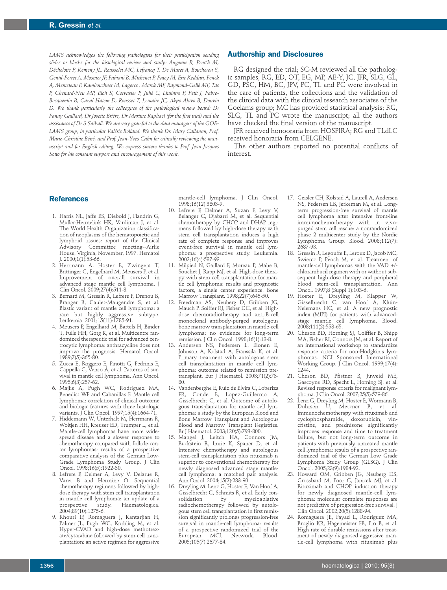*LAMS acknowledges the following pathologists for their participation sending slides or blocks for the histological review and study: Angonin R, Peoc'h M, Déchelotte P, Kemeny JL, Rousselet MC, Lefrancq T, De Muret A, Boucheron S, Gentil-Perret A, Mosnier JF, Fabiani B, Michenet P, Patey M, Eric Keddari, Fonck A, Memeteau F, Kambouchner M, Lagorce , Marck MF, Raymond-Gellé MF, Tas P, Chenard-Neu MP, Eloit S, Corvasier P, Julié C, Lhuintre P, Petit J, Fabre-Bocquentin B, Cazal-Hatem D, Rousset T, Lemaire JC, Akpo-Alavo B, Douvin D. We thank particularly the colleagues of the pathological review board: Dr Fanny Gaillard, Dr Josette Brière, Dr Martine Raphael (for the first trial) and the assistance of Dr S Saïkali. We are very grateful to the data managers of the GOE-LAMS group, in particular Valérie Rolland. We thank Dr. Mary Callanan, Prof. Marie-Christine Béné, and Prof. Jean-Yves Cahn for critically reviewing the manuscript and for English editing. We express sincere thanks to Prof. Jean-Jacques Sotto for his constant support and encouragement of this work.*

#### **Authorship and Disclosures**

RG designed the trial; SC-M reviewed all the pathologic samples; RG, ED, OT, EG, MP, AE-Y, JC, JFR, SLG, GL, GD, PSC, HM, BC, JPV, PC, TL and PC were involved in the care of patients, the collections and the validation of the clinical data with the clinical research associates of the Goelams group; MC has provided statistical analysis; RG, SLG, TL and PC wrote the manuscript; all the authors have checked the final version of the manuscript.

JFR received honooraria from HOSPIRA; RG and TLdLC received honoraria from CELGENE.

The other authors reported no potential conflicts of interest.

#### **References**

- 1. Harris NL, Jaffe ES, Diebold J, Flandrin G, Muller-Hermelink HK, Vardiman J, et al. The World Health Organization classification of neoplasms of the hematopoietic and lymphoid tissues: report of the Clinical Advisory Committee meeting--Airlie House, Virginia, November, 1997. Hematol  $.2000;1(1).53-66.$
- 2. Herrmann A, Hoster E, Zwingers T, Brittinger G, Engelhard M, Meusers P, et al. Improvement of overall survival in advanced stage mantle cell lymphoma. J Clin Oncol. 2009;27(4):511-8.
- 3. Bernard M, Gressin R, Lefrere F, Drenou B, Branger B, Caulet-Maugendre S, et al. Blastic variant of mantle cell lymphoma: a rare but highly aggressive subtype. Leukemia. 2001;15(11):1785-91.
- 4. Meusers P, Engelhard M, Bartels H, Binder T, Fulle HH, Gorg K, et al. Multicentre randomized therapeutic trial for advanced centrocytic lymphoma: anthracycline does not improve the prognosis. Hematol Oncol. 1989;7(5):365-80.
- 5. Zucca E, Roggero E, Pinotti G, Pedrinis E, Cappella C, Venco A, et al. Patterns of survival in mantle cell lymphoma. Ann Oncol. 1995;6(3):257-62.
- 6. Majlis A, Pugh WC, Rodriguez MA, Benedict WF and Cabanillas F. Mantle cell lymphoma: correlation of clinical outcome and biologic features with three histologic variants. J Clin Oncol. 1997;15(4):1664-71.
- 7. Hiddemann W, Unterhalt M, Herrmann R, Woltjen HH, Kreuser ED, Trumper L, et al. Mantle-cell lymphomas have more widespread disease and a slower response to chemotherapy compared with follicle-center lymphomas: results of a prospective comparative analysis of the German Low-Grade Lymphoma Study Group. J Clin Oncol. 1998;16(5):1922-30.
- 8. Lefrere F, Delmer A, Levy V, Delarue R, Varet B and Hermine O. Sequential chemotherapy regimens followed by highdose therapy with stem cell transplantation in mantle cell lymphoma: an update of a Haematologica. 2004;89(10):1275-6.
- 9. Khouri IF, Romaguera J, Kantarjian H, Palmer JL, Pugh WC, Korbling M, et al. Hyper-CVAD and high-dose methotrexate/cytarabine followed by stem-cell transplantation: an active regimen for aggressive

mantle-cell lymphoma. J Clin Oncol. 1998;16(12):3803-9.

- 10. Lefrere F, Delmer A, Suzan F, Levy V, Belanger C, Djabarri M, et al. Sequential chemotherapy by CHOP and DHAP regimens followed by high-dose therapy with stem cell transplantation induces a high rate of complete response and improves event-free survival in mantle cell lymphoma: a prospective study. Leukemia. 2002;16(4):587-93.
- 11. Milpied N, Gaillard F, Moreau P, Mahe B, Souchet J, Rapp MJ, et al. High-dose therapy with stem cell transplantation for mantle cell lymphoma: results and prognostic factors, a single center experience. Bone Marrow Transplant. 1998;22(7):645-50.
- 12. Freedman AS, Neuberg D, Gribben JG, Mauch P, Soiffer RJ, Fisher DC, et al. Highdose chemoradiotherapy and anti-B-cell monoclonal antibody-purged autologous bone marrow transplantation in mantle-cell lymphoma: no evidence for long-term remission. J Clin Oncol. 1998;16(1):13-8.
- 13. Andersen NS, Pedersen L, Elonen E Johnson A, Kolstad A, Franssila K, et al. Primary treatment with autologous stem cell transplantation in mantle cell lymphoma: outcome related to remission pretransplant. Eur J Haematol. 2003;71(2):73- 80.
- 14. Vandenberghe E, Ruiz de Elvira C, Loberiza FR, Conde E, Lopez-Guillermo A, Gisselbrecht C, et al. Outcome of autologous transplantation for mantle cell lymphoma: a study by the European Blood and Bone Marrow Transplant and Autologous Blood and Marrow Transplant Registries. Br J Haematol. 2003;120(5):793-800.
- 15. Mangel J, Leitch HA, Connors JM, Buckstein R, Imrie K, Spaner D, et al. Intensive chemotherapy and autologous stem-cell transplantation plus rituximab is superior to conventional chemotherapy for newly diagnosed advanced stage mantlecell lymphoma: a matched pair analysis. Ann Oncol. 2004;15(2):283-90.
- 16. Dreyling M, Lenz G, Hoster E, Van Hoof A, Gisselbrecht C, Schmits R, et al. Early con-<br>solidation by myeloablative myeloablative radiochemotherapy followed by autologous stem cell transplantation in first remission significantly prolongs progression-free survival in mantle-cell lymphoma: results of a prospective randomized trial of the<br>European MCL Network. Blood European MCL Network. Blood. 2005;105(7):2677-84.
- 17. Geisler CH, Kolstad A, Laurell A, Andersen NS, Pedersen LB, Jerkeman M, et al. Longterm progression-free survival of mantle cell lymphoma after intensive front-line immunochemotherapy with in vivopurged stem cell rescue: a nonrandomized phase 2 multicenter study by the Nordic Lymphoma Group. Blood. 2008;112(7): 2687-93.
- 18. Gressin R, Legouffe E, Leroux D, Jacob MC, Swiercz P, Peoch M, et al. Treatment of mantle-cell lymphomas with the VAD +/ chlorambucil regimen with or without subsequent high-dose therapy and peripheral blood stem-cell transplantation. Ann Oncol. 1997;8 (Suppl 1):103-6.
- 19. Hoster E, Dreyling M, Klapper W, Gisselbrecht C, van Hoof A, Kluin-Nelemans HC, et al. A new prognostic index (MIPI) for patients with advancedstage mantle cell lymphoma. Blood. 2008;111(2):558-65.
- 20. Cheson BD, Horning SJ, Coiffier B, Shipp MA, Fisher RI, Connors JM, et al. Report of an international workshop to standardize response criteria for non-Hodgkin's lymphomas. NCI Sponsored International Working Group. J Clin Oncol. 1999;17(4): 1244.
- 21. Cheson BD, Pfistner B, Juweid ME, Gascoyne RD, Specht L, Horning SJ, et al. Revised response criteria for malignant lymphoma. J Clin Oncol. 2007;25(5):579-86.
- 22. Lenz G, Dreyling M, Hoster E, Wormann B, Duhrsen U, Metzner B, et al. Immunochemotherapy with rituximab and cyclophosphamide, doxorubicin, vincristine, and prednisone significantly improves response and time to treatment failure, but not long-term outcome in patients with previously untreated mantle cell lymphoma: results of a prospective randomized trial of the German Low Grade Lymphoma Study Group (GLSG). J Clin Oncol. 2005;23(9):1984-92.
- 23. Howard OM, Gribben JG, Neuberg DS, Grossbard M, Poor C, Janicek MJ, et al. Rituximab and CHOP induction therapy for newly diagnosed mantle-cell lymphoma: molecular complete responses are not predictive of progression-free survival. J Clin Oncol. 2002;20(5):1288-94.
- 24. Romaguera JE, Fayad L, Rodriguez MA, Broglio KR, Hagemeister FB, Pro B, et al. High rate of durable remissions after treatment of newly diagnosed aggressive mantle-cell lymphoma with rituximab plus